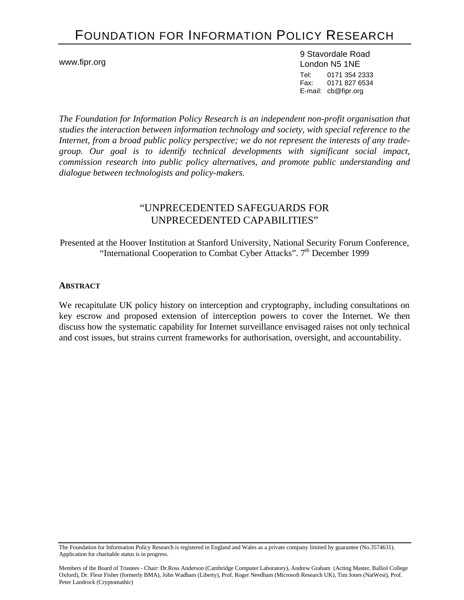# FOUNDATION FOR INFORMATION POLICY RESEARCH

www.fipr.org

9 Stavordale Road London N5 1NE Tel: 0171 354 2333 Fax: 0171 827 6534 E-mail: cb@fipr.org

*The Foundation for Information Policy Research is an independent non-profit organisation that studies the interaction between information technology and society, with special reference to the Internet, from a broad public policy perspective; we do not represent the interests of any tradegroup. Our goal is to identify technical developments with significant social impact, commission research into public policy alternatives, and promote public understanding and dialogue between technologists and policy-makers.* 

# "UNPRECEDENTED SAFEGUARDS FOR UNPRECEDENTED CAPABILITIES"

Presented at the Hoover Institution at Stanford University, National Security Forum Conference, "International Cooperation to Combat Cyber Attacks".  $7<sup>th</sup>$  December 1999

#### **ABSTRACT**

We recapitulate UK policy history on interception and cryptography, including consultations on key escrow and proposed extension of interception powers to cover the Internet. We then discuss how the systematic capability for Internet surveillance envisaged raises not only technical and cost issues, but strains current frameworks for authorisation, oversight, and accountability.

The Foundation for Information Policy Research is registered in England and Wales as a private company limited by guarantee (No.3574631). Application for charitable status is in progress.

Members of the Board of Trustees - Chair: Dr.Ross Anderson (Cambridge Computer Laboratory), Andrew Graham (Acting Master, Balliol College Oxford), Dr. Fleur Fisher (formerly BMA), John Wadham (Liberty), Prof. Roger Needham (Microsoft Research UK), Tim Jones (NatWest), Prof. Peter Landrock (Cryptomathic)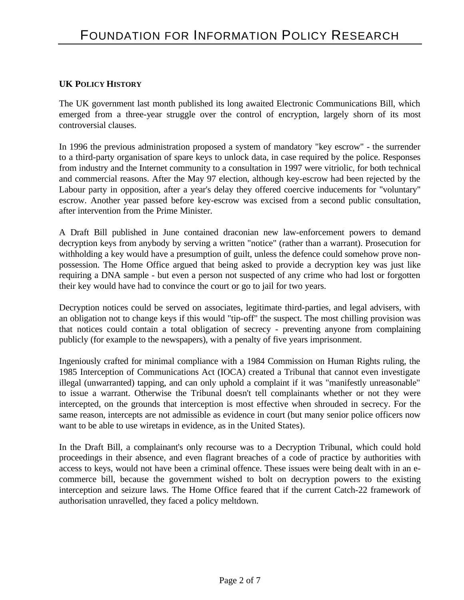#### **UK POLICY HISTORY**

The UK government last month published its long awaited Electronic Communications Bill, which emerged from a three-year struggle over the control of encryption, largely shorn of its most controversial clauses.

In 1996 the previous administration proposed a system of mandatory "key escrow" - the surrender to a third-party organisation of spare keys to unlock data, in case required by the police. Responses from industry and the Internet community to a consultation in 1997 were vitriolic, for both technical and commercial reasons. After the May 97 election, although key-escrow had been rejected by the Labour party in opposition, after a year's delay they offered coercive inducements for "voluntary" escrow. Another year passed before key-escrow was excised from a second public consultation, after intervention from the Prime Minister.

A Draft Bill published in June contained draconian new law-enforcement powers to demand decryption keys from anybody by serving a written "notice" (rather than a warrant). Prosecution for withholding a key would have a presumption of guilt, unless the defence could somehow prove nonpossession. The Home Office argued that being asked to provide a decryption key was just like requiring a DNA sample - but even a person not suspected of any crime who had lost or forgotten their key would have had to convince the court or go to jail for two years.

Decryption notices could be served on associates, legitimate third-parties, and legal advisers, with an obligation not to change keys if this would "tip-off" the suspect. The most chilling provision was that notices could contain a total obligation of secrecy - preventing anyone from complaining publicly (for example to the newspapers), with a penalty of five years imprisonment.

Ingeniously crafted for minimal compliance with a 1984 Commission on Human Rights ruling, the 1985 Interception of Communications Act (IOCA) created a Tribunal that cannot even investigate illegal (unwarranted) tapping, and can only uphold a complaint if it was "manifestly unreasonable" to issue a warrant. Otherwise the Tribunal doesn't tell complainants whether or not they were intercepted, on the grounds that interception is most effective when shrouded in secrecy. For the same reason, intercepts are not admissible as evidence in court (but many senior police officers now want to be able to use wiretaps in evidence, as in the United States).

In the Draft Bill, a complainant's only recourse was to a Decryption Tribunal, which could hold proceedings in their absence, and even flagrant breaches of a code of practice by authorities with access to keys, would not have been a criminal offence. These issues were being dealt with in an ecommerce bill, because the government wished to bolt on decryption powers to the existing interception and seizure laws. The Home Office feared that if the current Catch-22 framework of authorisation unravelled, they faced a policy meltdown.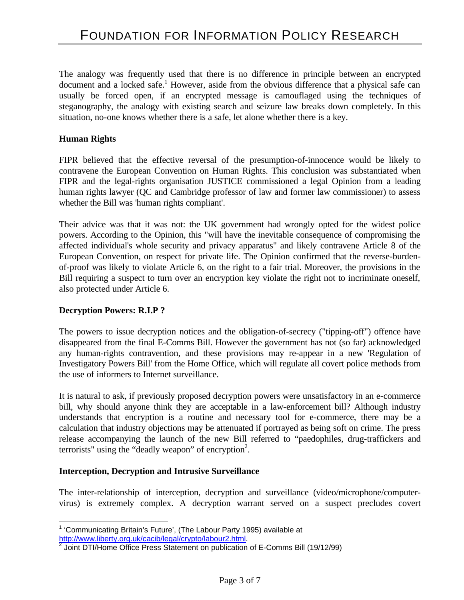The analogy was frequently used that there is no difference in principle between an encrypted document and a locked safe.<sup>1</sup> However, aside from the obvious difference that a physical safe can usually be forced open, if an encrypted message is camouflaged using the techniques of steganography, the analogy with existing search and seizure law breaks down completely. In this situation, no-one knows whether there is a safe, let alone whether there is a key.

#### **Human Rights**

FIPR believed that the effective reversal of the presumption-of-innocence would be likely to contravene the European Convention on Human Rights. This conclusion was substantiated when FIPR and the legal-rights organisation JUSTICE commissioned a legal Opinion from a leading human rights lawyer (QC and Cambridge professor of law and former law commissioner) to assess whether the Bill was 'human rights compliant'.

Their advice was that it was not: the UK government had wrongly opted for the widest police powers. According to the Opinion, this "will have the inevitable consequence of compromising the affected individual's whole security and privacy apparatus" and likely contravene Article 8 of the European Convention, on respect for private life. The Opinion confirmed that the reverse-burdenof-proof was likely to violate Article 6, on the right to a fair trial. Moreover, the provisions in the Bill requiring a suspect to turn over an encryption key violate the right not to incriminate oneself, also protected under Article 6.

## **Decryption Powers: R.I.P ?**

-

The powers to issue decryption notices and the obligation-of-secrecy ("tipping-off") offence have disappeared from the final E-Comms Bill. However the government has not (so far) acknowledged any human-rights contravention, and these provisions may re-appear in a new 'Regulation of Investigatory Powers Bill' from the Home Office, which will regulate all covert police methods from the use of informers to Internet surveillance.

It is natural to ask, if previously proposed decryption powers were unsatisfactory in an e-commerce bill, why should anyone think they are acceptable in a law-enforcement bill? Although industry understands that encryption is a routine and necessary tool for e-commerce, there may be a calculation that industry objections may be attenuated if portrayed as being soft on crime. The press release accompanying the launch of the new Bill referred to "paedophiles, drug-traffickers and terrorists" using the "deadly weapon" of encryption<sup>2</sup>.

## **Interception, Decryption and Intrusive Surveillance**

The inter-relationship of interception, decryption and surveillance (video/microphone/computervirus) is extremely complex. A decryption warrant served on a suspect precludes covert

<sup>&</sup>lt;sup>1</sup> 'Communicating Britain's Future', (The Labour Party 1995) available at

http://www.liberty.org.uk/cacib/legal/crypto/labour2.html.<br><sup>2</sup> Joint DTI/Home Office Press Statement on publication of E-Comms Bill (19/12/99)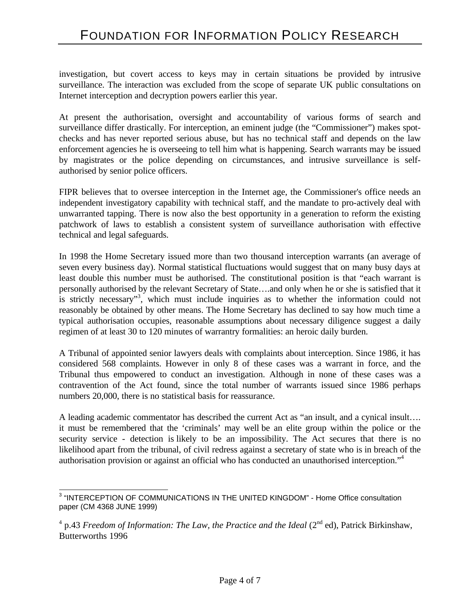investigation, but covert access to keys may in certain situations be provided by intrusive surveillance. The interaction was excluded from the scope of separate UK public consultations on Internet interception and decryption powers earlier this year.

At present the authorisation, oversight and accountability of various forms of search and surveillance differ drastically. For interception, an eminent judge (the "Commissioner") makes spotchecks and has never reported serious abuse, but has no technical staff and depends on the law enforcement agencies he is overseeing to tell him what is happening. Search warrants may be issued by magistrates or the police depending on circumstances, and intrusive surveillance is selfauthorised by senior police officers.

FIPR believes that to oversee interception in the Internet age, the Commissioner's office needs an independent investigatory capability with technical staff, and the mandate to pro-actively deal with unwarranted tapping. There is now also the best opportunity in a generation to reform the existing patchwork of laws to establish a consistent system of surveillance authorisation with effective technical and legal safeguards.

In 1998 the Home Secretary issued more than two thousand interception warrants (an average of seven every business day). Normal statistical fluctuations would suggest that on many busy days at least double this number must be authorised. The constitutional position is that "each warrant is personally authorised by the relevant Secretary of State….and only when he or she is satisfied that it is strictly necessary"<sup>3</sup>, which must include inquiries as to whether the information could not reasonably be obtained by other means. The Home Secretary has declined to say how much time a typical authorisation occupies, reasonable assumptions about necessary diligence suggest a daily regimen of at least 30 to 120 minutes of warrantry formalities: an heroic daily burden.

A Tribunal of appointed senior lawyers deals with complaints about interception. Since 1986, it has considered 568 complaints. However in only 8 of these cases was a warrant in force, and the Tribunal thus empowered to conduct an investigation. Although in none of these cases was a contravention of the Act found, since the total number of warrants issued since 1986 perhaps numbers 20,000, there is no statistical basis for reassurance.

A leading academic commentator has described the current Act as "an insult, and a cynical insult…. it must be remembered that the 'criminals' may well be an elite group within the police or the security service - detection is likely to be an impossibility. The Act secures that there is no likelihood apart from the tribunal, of civil redress against a secretary of state who is in breach of the authorisation provision or against an official who has conducted an unauthorised interception."<sup>4</sup>

 3 "INTERCEPTION OF COMMUNICATIONS IN THE UNITED KINGDOM" - Home Office consultation paper (CM 4368 JUNE 1999)

 $^{4}$  p.43 *Freedom of Information: The Law, the Practice and the Ideal* (2<sup>nd</sup> ed), Patrick Birkinshaw, Butterworths 1996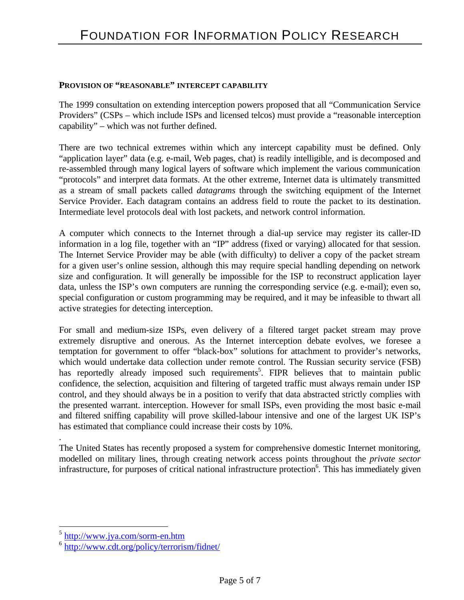#### **PROVISION OF "REASONABLE" INTERCEPT CAPABILITY**

The 1999 consultation on extending interception powers proposed that all "Communication Service Providers" (CSPs – which include ISPs and licensed telcos) must provide a "reasonable interception capability" – which was not further defined.

There are two technical extremes within which any intercept capability must be defined. Only "application layer" data (e.g. e-mail, Web pages, chat) is readily intelligible, and is decomposed and re-assembled through many logical layers of software which implement the various communication "protocols" and interpret data formats. At the other extreme, Internet data is ultimately transmitted as a stream of small packets called *datagrams* through the switching equipment of the Internet Service Provider. Each datagram contains an address field to route the packet to its destination. Intermediate level protocols deal with lost packets, and network control information.

A computer which connects to the Internet through a dial-up service may register its caller-ID information in a log file, together with an "IP" address (fixed or varying) allocated for that session. The Internet Service Provider may be able (with difficulty) to deliver a copy of the packet stream for a given user's online session, although this may require special handling depending on network size and configuration. It will generally be impossible for the ISP to reconstruct application layer data, unless the ISP's own computers are running the corresponding service (e.g. e-mail); even so, special configuration or custom programming may be required, and it may be infeasible to thwart all active strategies for detecting interception.

For small and medium-size ISPs, even delivery of a filtered target packet stream may prove extremely disruptive and onerous. As the Internet interception debate evolves, we foresee a temptation for government to offer "black-box" solutions for attachment to provider's networks, which would undertake data collection under remote control. The Russian security service (FSB) has reportedly already imposed such requirements<sup>5</sup>. FIPR believes that to maintain public confidence, the selection, acquisition and filtering of targeted traffic must always remain under ISP control, and they should always be in a position to verify that data abstracted strictly complies with the presented warrant. interception. However for small ISPs, even providing the most basic e-mail and filtered sniffing capability will prove skilled-labour intensive and one of the largest UK ISP's has estimated that compliance could increase their costs by 10%.

The United States has recently proposed a system for comprehensive domestic Internet monitoring*,*  modelled on military lines, through creating network access points throughout the *private sector* infrastructure, for purposes of critical national infrastructure protection<sup>6</sup>. This has immediately given

.

-

<sup>5</sup> http://www.jya.com/sorm-en.htm

<sup>&</sup>lt;sup>6</sup> http://www.cdt.org/policy/terrorism/fidnet/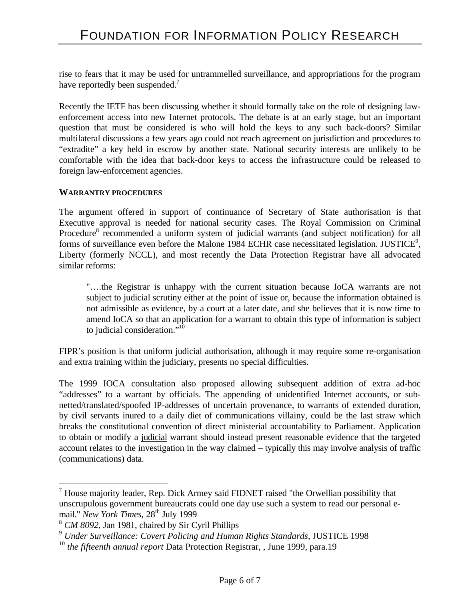rise to fears that it may be used for untrammelled surveillance, and appropriations for the program have reportedly been suspended.<sup>7</sup>

Recently the IETF has been discussing whether it should formally take on the role of designing lawenforcement access into new Internet protocols. The debate is at an early stage, but an important question that must be considered is who will hold the keys to any such back-doors? Similar multilateral discussions a few years ago could not reach agreement on jurisdiction and procedures to "extradite" a key held in escrow by another state. National security interests are unlikely to be comfortable with the idea that back-door keys to access the infrastructure could be released to foreign law-enforcement agencies.

#### **WARRANTRY PROCEDURES**

The argument offered in support of continuance of Secretary of State authorisation is that Executive approval is needed for national security cases. The Royal Commission on Criminal Procedure<sup>8</sup> recommended a uniform system of judicial warrants (and subject notification) for all forms of surveillance even before the Malone 1984 ECHR case necessitated legislation. JUSTICE<sup>9</sup>, Liberty (formerly NCCL), and most recently the Data Protection Registrar have all advocated similar reforms:

"….the Registrar is unhappy with the current situation because IoCA warrants are not subject to judicial scrutiny either at the point of issue or, because the information obtained is not admissible as evidence, by a court at a later date, and she believes that it is now time to amend IoCA so that an application for a warrant to obtain this type of information is subject to judicial consideration."<sup>10</sup>

FIPR's position is that uniform judicial authorisation, although it may require some re-organisation and extra training within the judiciary, presents no special difficulties.

The 1999 IOCA consultation also proposed allowing subsequent addition of extra ad-hoc "addresses" to a warrant by officials. The appending of unidentified Internet accounts, or subnetted/translated/spoofed IP-addresses of uncertain provenance, to warrants of extended duration, by civil servants inured to a daily diet of communications villainy, could be the last straw which breaks the constitutional convention of direct ministerial accountability to Parliament. Application to obtain or modify a judicial warrant should instead present reasonable evidence that the targeted account relates to the investigation in the way claimed – typically this may involve analysis of traffic (communications) data.

 $\overline{a}$ 

 $<sup>7</sup>$  House majority leader, Rep. Dick Armey said FIDNET raised "the Orwellian possibility that</sup> unscrupulous government bureaucrats could one day use such a system to read our personal email." New York Times, 28<sup>th</sup> July 1999

<sup>8</sup> *CM 8092*, Jan 1981, chaired by Sir Cyril Phillips

<sup>9</sup> *Under Surveillance: Covert Policing and Human Rights Standards*, JUSTICE 1998

<sup>10</sup> *the fifteenth annual report* Data Protection Registrar, , June 1999, para.19